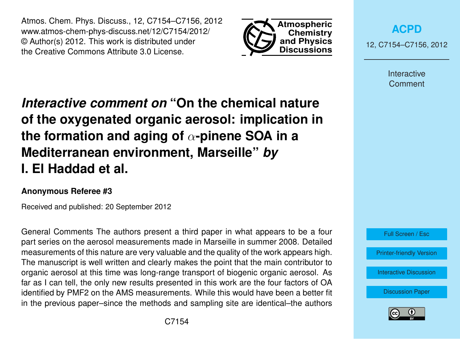Atmos. Chem. Phys. Discuss., 12, C7154–C7156, 2012 www.atmos-chem-phys-discuss.net/12/C7154/2012/ © Author(s) 2012. This work is distributed under the Creative Commons Attribute 3.0 License.



**[ACPD](http://www.atmos-chem-phys-discuss.net)**

12, C7154–C7156, 2012

Interactive **Comment** 

## *Interactive comment on* **"On the chemical nature of the oxygenated organic aerosol: implication in the formation and aging of** α**-pinene SOA in a Mediterranean environment, Marseille"** *by* **I. El Haddad et al.**

## **Anonymous Referee #3**

Received and published: 20 September 2012

General Comments The authors present a third paper in what appears to be a four part series on the aerosol measurements made in Marseille in summer 2008. Detailed measurements of this nature are very valuable and the quality of the work appears high. The manuscript is well written and clearly makes the point that the main contributor to organic aerosol at this time was long-range transport of biogenic organic aerosol. As far as I can tell, the only new results presented in this work are the four factors of OA identified by PMF2 on the AMS measurements. While this would have been a better fit in the previous paper–since the methods and sampling site are identical–the authors



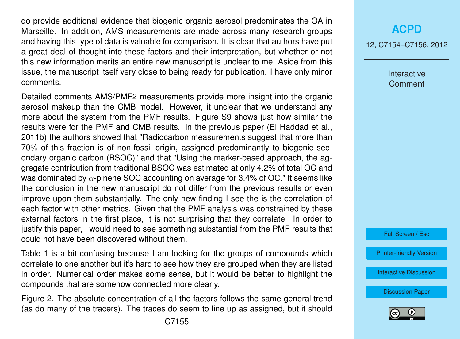do provide additional evidence that biogenic organic aerosol predominates the OA in Marseille. In addition, AMS measurements are made across many research groups and having this type of data is valuable for comparison. It is clear that authors have put a great deal of thought into these factors and their interpretation, but whether or not this new information merits an entire new manuscript is unclear to me. Aside from this issue, the manuscript itself very close to being ready for publication. I have only minor comments.

Detailed comments AMS/PMF2 measurements provide more insight into the organic aerosol makeup than the CMB model. However, it unclear that we understand any more about the system from the PMF results. Figure S9 shows just how similar the results were for the PMF and CMB results. In the previous paper (El Haddad et al., 2011b) the authors showed that "Radiocarbon measurements suggest that more than 70% of this fraction is of non-fossil origin, assigned predominantly to biogenic secondary organic carbon (BSOC)" and that "Using the marker-based approach, the aggregate contribution from traditional BSOC was estimated at only 4.2% of total OC and was dominated by  $\alpha$ -pinene SOC accounting on average for 3.4% of OC." It seems like the conclusion in the new manuscript do not differ from the previous results or even improve upon them substantially. The only new finding I see the is the correlation of each factor with other metrics. Given that the PMF analysis was constrained by these external factors in the first place, it is not surprising that they correlate. In order to justify this paper, I would need to see something substantial from the PMF results that could not have been discovered without them.

Table 1 is a bit confusing because I am looking for the groups of compounds which correlate to one another but it's hard to see how they are grouped when they are listed in order. Numerical order makes some sense, but it would be better to highlight the compounds that are somehow connected more clearly.

Figure 2. The absolute concentration of all the factors follows the same general trend (as do many of the tracers). The traces do seem to line up as assigned, but it should

## **[ACPD](http://www.atmos-chem-phys-discuss.net)**

12, C7154–C7156, 2012

Interactive **Comment** 



[Printer-friendly Version](http://www.atmos-chem-phys-discuss.net/12/C7154/2012/acpd-12-C7154-2012-print.pdf)

[Interactive Discussion](http://www.atmos-chem-phys-discuss.net/12/19769/2012/acpd-12-19769-2012-discussion.html)

[Discussion Paper](http://www.atmos-chem-phys-discuss.net/12/19769/2012/acpd-12-19769-2012.pdf)